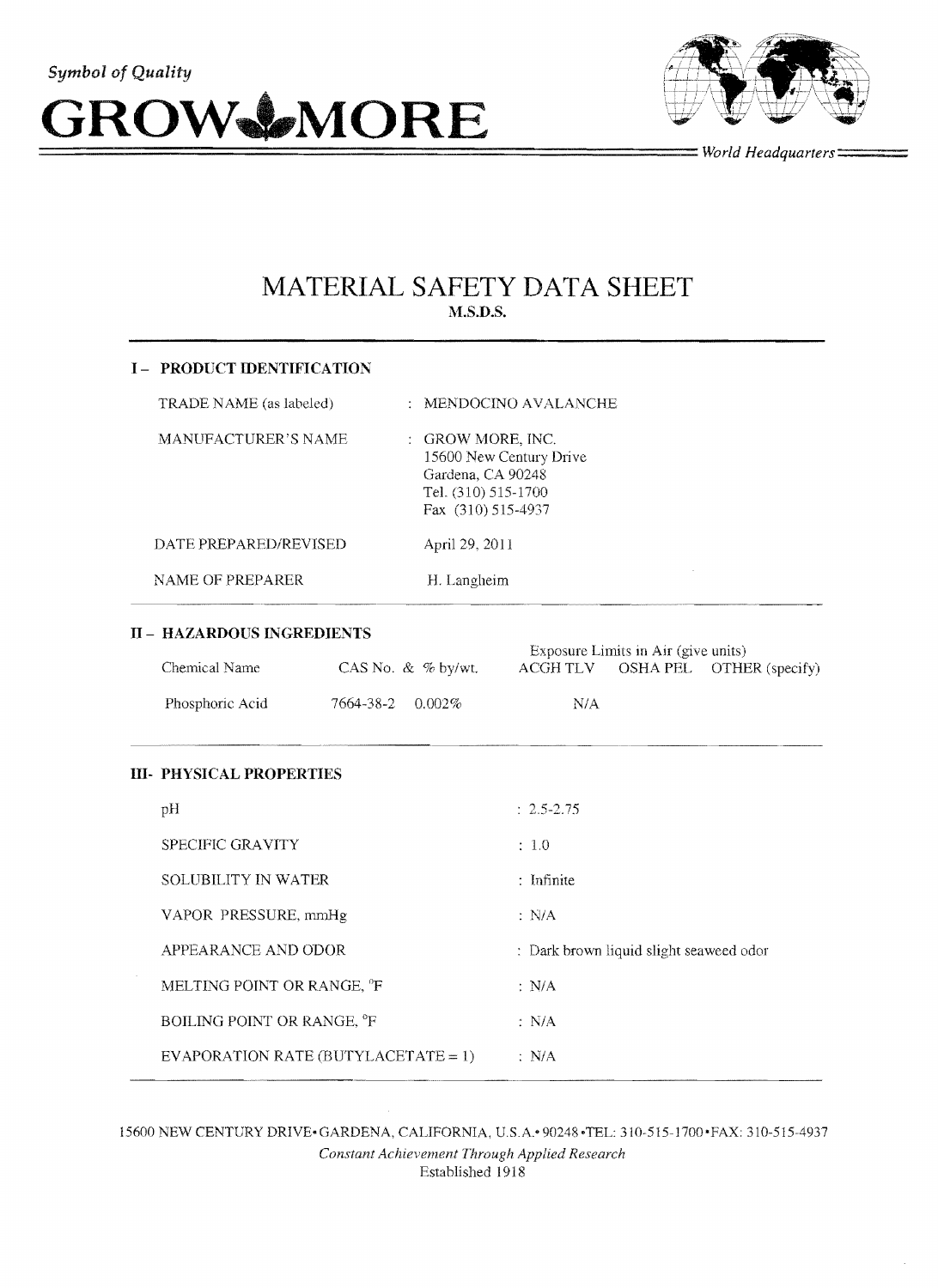



**=================================** *World Headquarters====* 

# **MATERIAL SAFETY DATA SHEET M.S.D.S.**

| <b>I – PRODUCT IDENTIFICATION</b> |                                                                                                                |
|-----------------------------------|----------------------------------------------------------------------------------------------------------------|
| TRADE NAME (as labeled)           | $\therefore$ MENDOCINO AVALANCHE                                                                               |
| MANUFACTURER'S NAME               | : GROW MORE, INC.<br>15600 New Century Drive<br>Gardena, CA 90248<br>Tel. (310) 515-1700<br>Fax (310) 515-4937 |
| DATE PREPARED/REVISED             | April 29, 2011                                                                                                 |
| NAME OF PREPARER                  | H. Langheim                                                                                                    |

## II **- HAZARDOUS INGREDIENTS**

|                 |                               | Exposure Limits in Air (give units) |  |                          |
|-----------------|-------------------------------|-------------------------------------|--|--------------------------|
| Chemical Name   | CAS No. $\&$ % by/wt.         | ACGH TLV                            |  | OSHA PEL OTHER (specify) |
| Phosphoric Acid | $7664 - 38 - 2 \quad 0.002\%$ | N/A                                 |  |                          |

### **111- PHYSICAL PROPERTIES**

| pH                                     | $: 2.5 - 2.75$                          |
|----------------------------------------|-----------------------------------------|
| SPECIFIC GRAVITY                       | :1.0                                    |
| SOLUBILITY IN WATER                    | : Infinite                              |
| VAPOR PRESSURE, mmHg                   | $\therefore$ N/A                        |
| APPEARANCE AND ODOR                    | : Dark brown liquid slight seaweed odor |
| MELTING POINT OR RANGE, <sup>o</sup> F | $\therefore$ N/A                        |
| BOILING POINT OR RANGE, <sup>o</sup> F | : N/A                                   |
| EVAPORATION RATE (BUTYLACETATE = $1$ ) | $\therefore$ N/A                        |

15600 NEW CENTURY DRIVE- GARDENA, CALIFORNIA, U.SA- 90248 -TEL: 310·515-1700' FAX: 310-515-4937 *Constant Achievement Through Applied Research*  Established 1918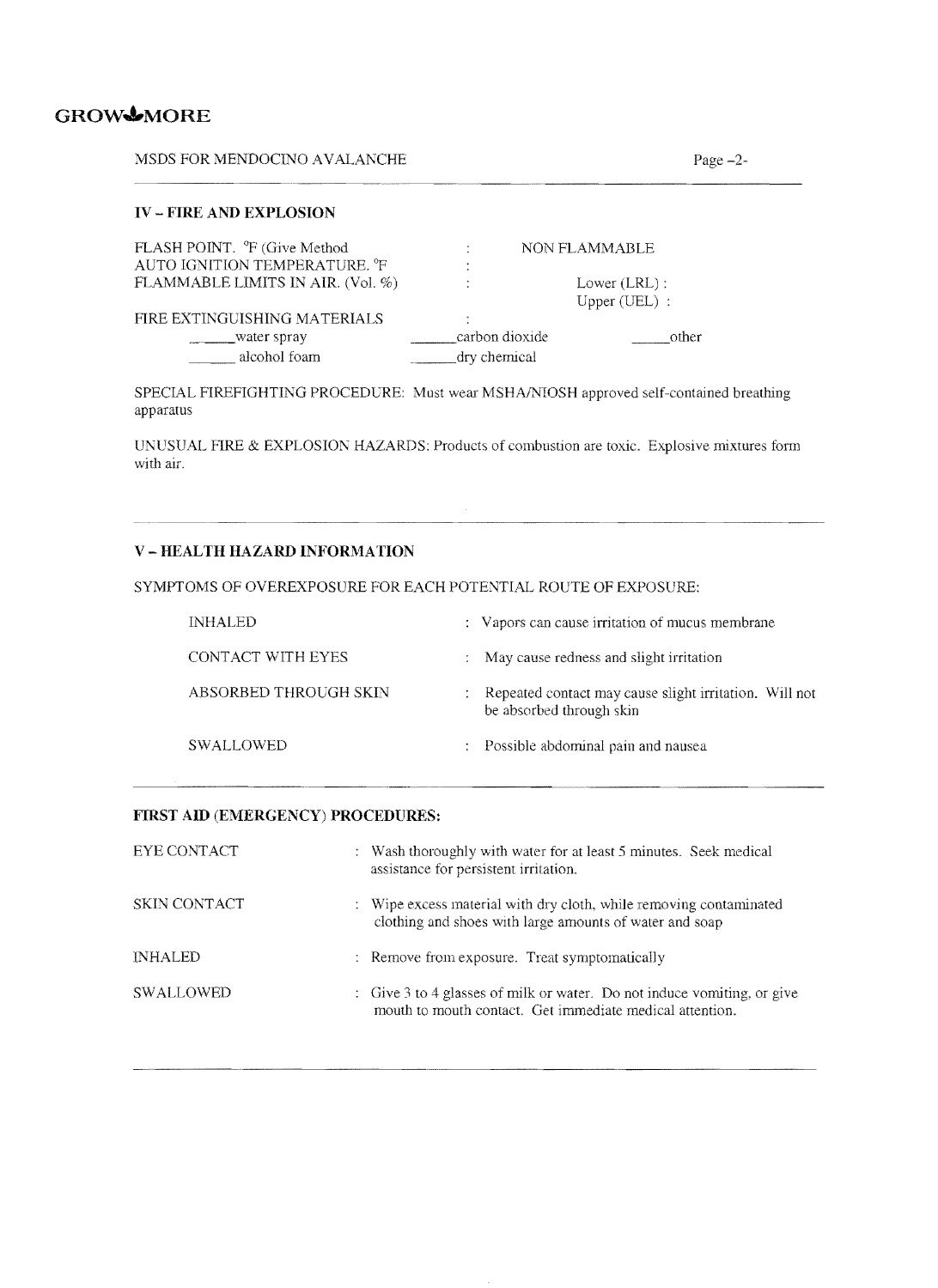# GROWMORE

MSDS FOR MENDOCINO AVALANCHE Page -2-

## **IV - FIRE AND EXPLOSION**

| FLASH POINT. <sup>o</sup> F (Give Method  |                | NON FLAMMABLE   |
|-------------------------------------------|----------------|-----------------|
| AUTO IGNITION TEMPERATURE. <sup>O</sup> F | $\cdot$        |                 |
| FLAMMABLE LIMITS IN AIR. (Vol. %)         | ٠              | Lower $(LRL)$ : |
|                                           |                | Upper $(UEL)$ : |
| FIRE EXTINGUISHING MATERIALS              | $\cdot$        |                 |
| water spray                               | carbon dioxide | other           |
| alcohol foam                              | dry chemical   |                 |

SPECIAL FIREFIGHTING PROCEDURE: Must wear MSHA/NIQSH approved self-contained breathing apparatus

UNUSUAL FIRE & EXPLOSION HAZARDS: Products of combustion are toxic. Explosive mixtures form with air.

 $\sim$ 

## V **- HEALTH HAZARD IKFORMATION**

SYMPTOMS OF OVEREXPOSURE FOR EACH POTENTIAL ROUTE OF EXPOSURE:

| <b>INHALED</b>        | : Vapors can cause irritation of mucus membrane                                      |
|-----------------------|--------------------------------------------------------------------------------------|
| CONTACT WITH EYES     | : May cause redness and slight irritation                                            |
| ABSORBED THROUGH SKIN | : Repeated contact may cause slight irritation. Will not<br>be absorbed through skin |
| <b>SWALLOWED</b>      | : Possible abdominal pain and nausea                                                 |

#### **FIRST AID (EMERGENCY) PROCEDURES:**

| EYE CONTACT    | : Wash thoroughly with water for at least 5 minutes. Seek medical<br>assistance for persistent irritation.                          |
|----------------|-------------------------------------------------------------------------------------------------------------------------------------|
| SKIN CONTACT   | : Wipe excess material with dry cloth, while removing contaminated<br>clothing and shoes with large amounts of water and soap       |
| <b>INHALED</b> | : Remove from exposure. Treat symptomatically                                                                                       |
| SWALLOWED      | : Give 3 to 4 glasses of milk or water. Do not induce vomiting, or give<br>mouth to mouth contact. Get immediate medical attention. |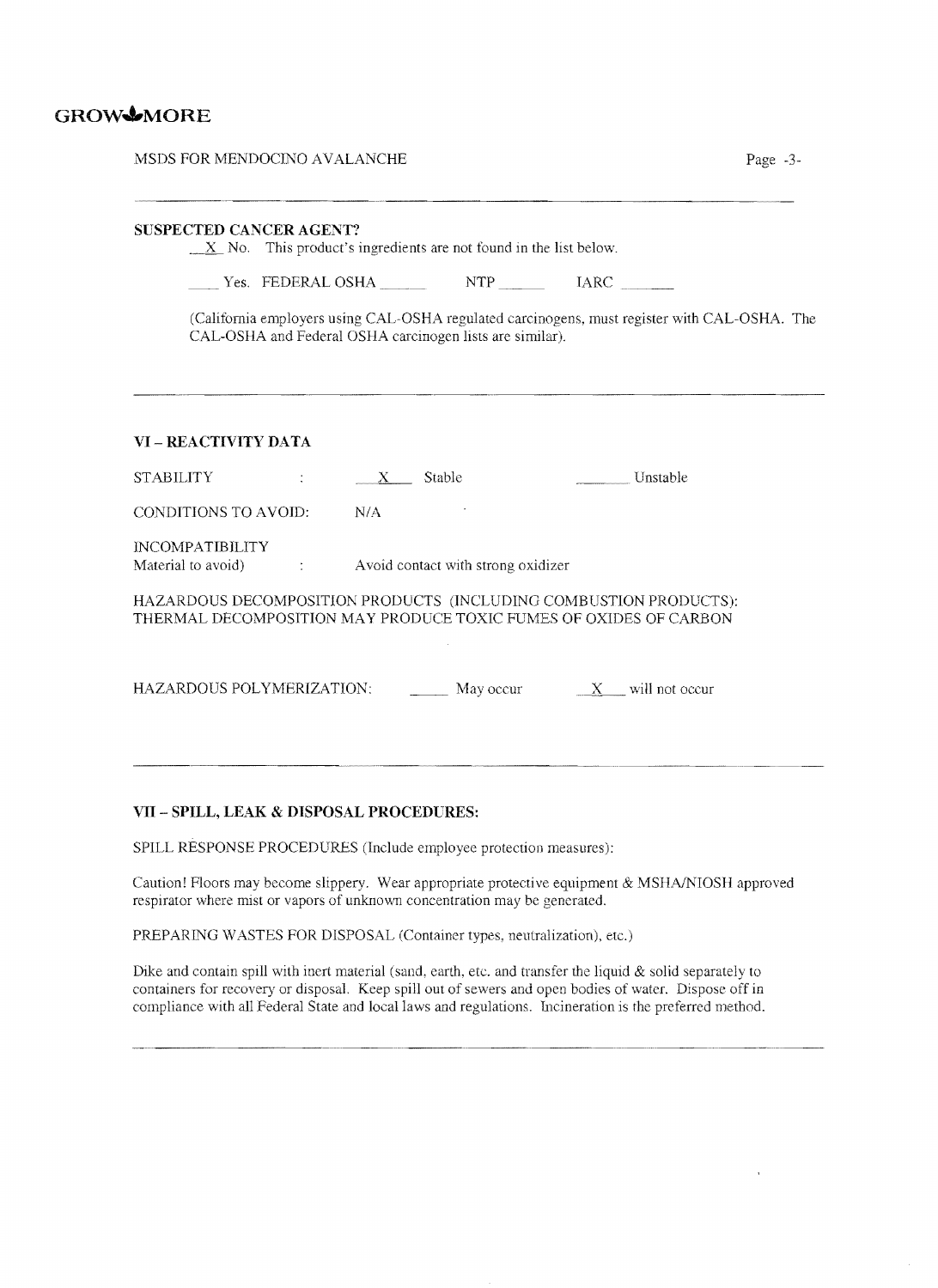# GROW<sup>6</sup>MORE

| MSDS FOR MENDOCINO AVALANCHE<br>Page -3-                                                                                                                                                                                                                                                     |
|----------------------------------------------------------------------------------------------------------------------------------------------------------------------------------------------------------------------------------------------------------------------------------------------|
| SUSPECTED CANCER AGENT?<br>$X$ No. This product's ingredients are not found in the list below.<br>Ves. FEDERAL OSHA NTP NTP IARC<br>(California employers using CAL-OSHA regulated carcinogens, must register with CAL-OSHA. The<br>CAL-OSHA and Federal OSHA carcinogen lists are similar). |
| VI - REACTIVITY DATA                                                                                                                                                                                                                                                                         |
| Unstable<br><b>STABILITY</b><br>$X$ Stable<br>$\mathcal{L}^{\text{max}}$ and $\mathcal{L}^{\text{max}}$                                                                                                                                                                                      |
| N/A<br>CONDITIONS TO AVOID:                                                                                                                                                                                                                                                                  |
| <b>INCOMPATIBILITY</b><br>Material to avoid)<br>Avoid contact with strong oxidizer<br>$\mathcal{L} = \{1, \ldots, n\}$ .                                                                                                                                                                     |
| HAZARDOUS DECOMPOSITION PRODUCTS (INCLUDING COMBUSTION PRODUCTS):<br>THERMAL DECOMPOSITION MAY PRODUCE TOXIC FUMES OF OXIDES OF CARBON                                                                                                                                                       |
| HAZARDOUS POLYMERIZATION:<br>$\frac{X}{X}$ will not occur                                                                                                                                                                                                                                    |
|                                                                                                                                                                                                                                                                                              |

#### **VII - SPILL, LEAK & DISPOSAL PROCEDURES:**

SPILL RESPONSE PROCEDURES (Include employee protection measures):

Caution! Floors may become slippery. Wear appropriate protective equipment & MSHNNIOSH approved respirator where mist or vapors of unknown concentration may be generated,

PREPARLNG WASTES FOR DISPOSAL (Container types, neutralization), etc.)

Dike and contain spill with inert material (sand, earth, etc. and transfer the liquid & solid separately to containers for recovery or disposal. Keep spill our of sewers and open bodies of water. Dispose off in compliance with all Federal State and local laws and regulations. Incineration is the preferred method.